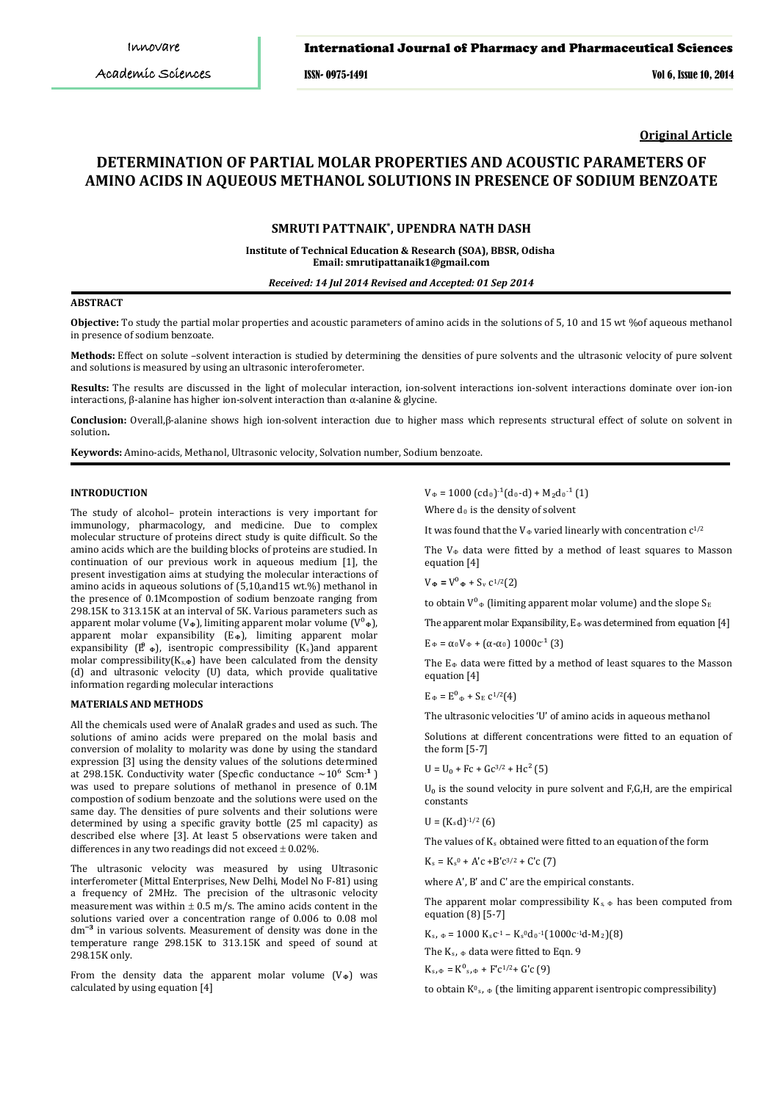ISSN- 0975-1491 Vol 6, Issue 10, 2014

**Original Article**

# **DETERMINATION OF PARTIAL MOLAR PROPERTIES AND ACOUSTIC PARAMETERS OF AMINO ACIDS IN AQUEOUS METHANOL SOLUTIONS IN PRESENCE OF SODIUM BENZOATE**

# **\* SMRUTI PATTNAIK , UPENDRA NATH DASH**

**Institute of Technical Education & Research (SOA), BBSR, Odisha Email: smrutipattanaik1@gmail.com**

*Received: 14 Jul 2014 Revised and Accepted: 01 Sep 2014*

#### **ABSTRACT**

**Objective:** To study the partial molar properties and acoustic parameters of amino acids in the solutions of 5, 10 and 15 wt %of aqueous methanol in presence of sodium benzoate.

**Methods:** Effect on solute –solvent interaction is studied by determining the densities of pure solvents and the ultrasonic velocity of pure solvent and solutions is measured by using an ultrasonic interoferometer.

**Results:** The results are discussed in the light of molecular interaction, ion-solvent interactions ion-solvent interactions dominate over ion-ion interactions, β-alanine has higher ion-solvent interaction than α-alanine & glycine.

**Conclusion:** Overall,β-alanine shows high ion-solvent interaction due to higher mass which represents structural effect of solute on solvent in solution**.**

**Keywords:** Amino-acids, Methanol, Ultrasonic velocity, Solvation number, Sodium benzoate.

### **INTRODUCTION**

The study of alcohol– protein interactions is very important for immunology, pharmacology, and medicine. Due to complex molecular structure of proteins direct study is quite difficult. So the amino acids which are the building blocks of proteins are studied. In continuation of our previous work in aqueous medium [1], the present investigation aims at studying the molecular interactions of amino acids in aqueous solutions of (5,10,and15 wt.%) methanol in the presence of 0.1Mcompostion of sodium benzoate ranging from 298.15K to 313.15K at an interval of 5K. Various parameters such as apparent molar volume (V**Φ**), limiting apparent molar volume (V⁰**Φ**), apparent molar expansibility (E<sub>Φ</sub>), limiting apparent molar expansibility ( $\mathbf{f}^{\beta}$   $\bullet$ ), isentropic compressibility (K<sub>s</sub>)and apparent molar compressibility(Ks,**<sup>Φ</sup>** ) have been calculated from the density (d) and ultrasonic velocity (U) data, which provide qualitative information regarding molecular interactions

#### **MATERIALS AND METHODS**

All the chemicals used were of AnalaR grades and used as such. The solutions of amino acids were prepared on the molal basis and conversion of molality to molarity was done by using the standard expression [3] using the density values of the solutions determined at 298.15K. Conductivity water (Specfic conductance  $\sim 10^6$  Scm<sup>-1</sup>) was used to prepare solutions of methanol in presence of 0.1M compostion of sodium benzoate and the solutions were used on the same day. The densities of pure solvents and their solutions were determined by using a specific gravity bottle (25 ml capacity) as described else where [3]. At least 5 observations were taken and differences in any two readings did not exceed  $\pm$  0.02%.

The ultrasonic velocity was measured by using Ultrasonic interferometer (Mittal Enterprises, New Delhi, Model No F-81) using a frequency of 2MHz. The precision of the ultrasonic velocity measurement was within  $\pm$  0.5 m/s. The amino acids content in the solutions varied over a concentration range of 0.006 to 0.08 mol dm<sup>-3</sup> in various solvents. Measurement of density was done in the temperature range 298.15K to 313.15K and speed of sound at 298.15K only.

From the density data the apparent molar volume (V**<sup>Φ</sup>** ) was calculated by using equation [4]

 $V_{\Phi} = 1000 \text{ (cd}_0)^{-1} \text{(d}_0 \text{-d)} + M_2 \text{d}_0^{-1} \text{ (1)}$ 

Where d 0 is the density of solvent

It was found that the  $V_{\Phi}$  varied linearly with concentration  $C^{1/2}$ 

The  $V_{\Phi}$  data were fitted by a method of least squares to Masson equation [4]

 $V_{\Phi} = V^0_{\Phi} + S_v c^{1/2}$ (2)

to obtain  ${\tt V}^{\circ}$  (limiting apparent molar volume) and the slope  ${\tt S}_E$ 

The apparent molar Expansibility, E Φ was determined from equation [4]

 $E_{\Phi} = \alpha_0 V_{\Phi} + (\alpha_0 V_{\Phi}) 1000c^{-1}$  (3)

The E Φ data were fitted by a method of least squares to the Masson equation [4]

 $E_{\Phi} = E^{\circ}_{\Phi} + S_E C^{1/2}(4)$ 

The ultrasonic velocities 'U' of amino acids in aqueous methanol

Solutions at different concentrations were fitted to an equation of the form [5-7]

 $U = U_0 + Fc + Gc^{3/2} + Hc^2$  (5)

 $U_0$  is the sound velocity in pure solvent and F,G,H, are the empirical constants

 $U = (K_s d)^{-1/2}$  (6)

The values of  $K_s$  obtained were fitted to an equation of the form

 $K_s = K_s^0 + A'c + B'c^{3/2} + C'c$  (7)

where A', B' and C' are the empirical constants.

The apparent molar compressibility  $K_{s_i} \Phi$  has been computed from equation (8) [5-7]

 $K_s$ ,  $\varphi = 1000 K_s c^{-1} - K_s^0 d_0^{-1} (1000 c^{-1} d - M_2)(8)$ 

The  $K_s$ ,  $\Phi$  data were fitted to Eqn. 9

 $K_s$ , $\Phi = K^0$ <sub>s</sub>, $\Phi + F'c^{1/2} + G'c$  (9)

to obtain  $\mathtt{K^0}_s$ ,  $_\Phi$  (the limiting apparent isentropic compressibility)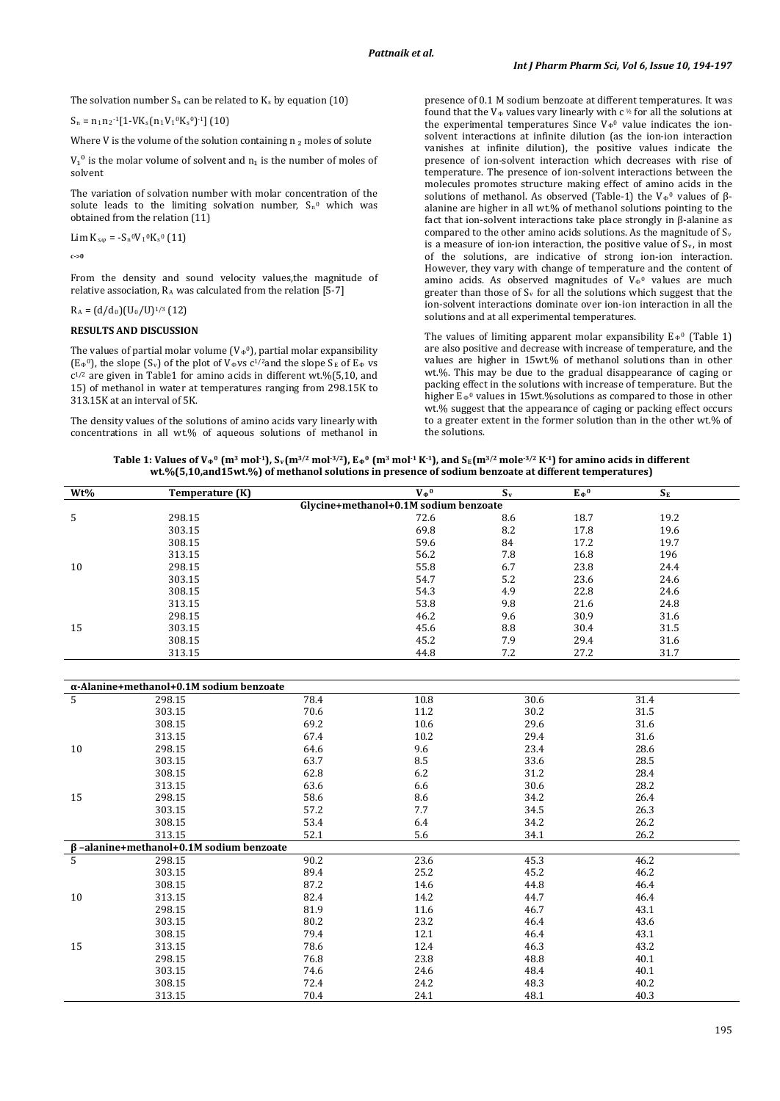The solvation number  $S_n$  can be related to  $K_s$  by equation (10)

$$
S_n = n_1 n_2^{-1} [1 - VK_s (n_1 V_1^0 K_s^0)^{-1}] (10)
$$

Where V is the volume of the solution containing  $n_2$  moles of solute

 $V_1^0$  is the molar volume of solvent and  $n_1$  is the number of moles of solvent

The variation of solvation number with molar concentration of the solute leads to the limiting solvation number,  $S_n$ <sup>0</sup> which was obtained from the relation (11)

Lim  $K_{s,\varphi} = -S_n{}^0V_1{}^0K_s{}^0(11)$ 

**c->0**

From the density and sound velocity values,the magnitude of relative association,  $R_A$  was calculated from the relation [5-7]

 $R_A = (d/d_0)(U_0/U)^{1/3}$  (12)

#### **RESULTS AND DISCUSSION**

The values of partial molar volume ( $V\Phi^0$ ), partial molar expansibility  $(E_{\Phi}^0)$ , the slope  $(S_v)$  of the plot of  $V_{\Phi}$ vs c<sup>1/2</sup>and the slope  $S_E$  of  $E_{\Phi}$  vs c1/2 are given in Table1 for amino acids in different wt.%(5,10, and 15) of methanol in water at temperatures ranging from 298.15K to 313.15K at an interval of 5K.

The density values of the solutions of amino acids vary linearly with concentrations in all wt.% of aqueous solutions of methanol in

presence of 0.1 M sodium benzoate at different temperatures. It was found that the V<sub>®</sub> values vary linearly with c  $\nu$  for all the solutions at the experimental temperatures Since  $V_{\Phi}^0$  value indicates the ionsolvent interactions at infinite dilution (as the ion-ion interaction vanishes at infinite dilution), the positive values indicate the presence of ion-solvent interaction which decreases with rise of temperature. The presence of ion-solvent interactions between the molecules promotes structure making effect of amino acids in the solutions of methanol. As observed (Table-1) the V<sub>Φ</sub><sup>0</sup> values of βalanine are higher in all wt.% of methanol solutions pointing to the fact that ion-solvent interactions take place strongly in β-alanine as compared to the other amino acids solutions. As the magnitude of  $S_v$ is a measure of ion-ion interaction, the positive value of  $S_v$ , in most of the solutions, are indicative of strong ion-ion interaction. However, they vary with change of temperature and the content of amino acids. As observed magnitudes of  $V_{\Phi}$ <sup>0</sup> values are much greater than those of  $S_v$  for all the solutions which suggest that the ion-solvent interactions dominate over ion-ion interaction in all the solutions and at all experimental temperatures.

The values of limiting apparent molar expansibility  $E_{\Phi}^0$  (Table 1) are also positive and decrease with increase of temperature, and the values are higher in 15wt.% of methanol solutions than in other wt.%. This may be due to the gradual disappearance of caging or packing effect in the solutions with increase of temperature. But the higher  $E_{\Phi}$ <sup>0</sup> values in 15wt.%solutions as compared to those in other wt.% suggest that the appearance of caging or packing effect occurs to a greater extent in the former solution than in the other wt.% of the solutions.

| Table 1: Values of V <sub>*</sub> <sup>0</sup> (m <sup>3</sup> mol <sup>-1</sup> ), S <sub>v</sub> (m <sup>3/2</sup> mol <sup>-3/2</sup> ), E <sub>*</sub> <sup>0</sup> (m <sup>3</sup> mol <sup>-1</sup> K <sup>-1</sup> ), and S <sub>E</sub> (m <sup>3/2</sup> mole <sup>-3/2</sup> K <sup>-1</sup> ) for amino acids in different |                                                                                                      |  |  |
|---------------------------------------------------------------------------------------------------------------------------------------------------------------------------------------------------------------------------------------------------------------------------------------------------------------------------------------|------------------------------------------------------------------------------------------------------|--|--|
|                                                                                                                                                                                                                                                                                                                                       | wt.%(5,10,and15wt.%) of methanol solutions in presence of sodium benzoate at different temperatures) |  |  |

| Wt%                                   | Temperature (K)                                           |      | $V_{\Phi}{}^0$ | $\mathbf{S}_{\mathbf{v}}$ | $E_{\Phi}{}^0$ | $S_{E}$ |  |
|---------------------------------------|-----------------------------------------------------------|------|----------------|---------------------------|----------------|---------|--|
| Glycine+methanol+0.1M sodium benzoate |                                                           |      |                |                           |                |         |  |
| 5                                     | 298.15                                                    |      | 72.6           | 8.6                       | 18.7           | 19.2    |  |
|                                       | 303.15                                                    |      | 69.8           | 8.2                       | 17.8           | 19.6    |  |
|                                       | 308.15                                                    |      | 59.6           | 84                        | 17.2           | 19.7    |  |
|                                       | 313.15                                                    |      | 56.2           | 7.8                       | 16.8           | 196     |  |
| $10\,$                                | 298.15                                                    |      | 55.8           | 6.7                       | 23.8           | 24.4    |  |
|                                       | 303.15                                                    |      | 54.7           | 5.2                       | 23.6           | 24.6    |  |
|                                       | 308.15                                                    |      | 54.3           | 4.9                       | 22.8           | 24.6    |  |
|                                       | 313.15                                                    |      | 53.8           | 9.8                       | 21.6           | 24.8    |  |
|                                       | 298.15                                                    |      | 46.2           | 9.6                       | 30.9           | 31.6    |  |
| 15                                    | 303.15                                                    |      | 45.6           | $\ \, 8.8$                | 30.4           | 31.5    |  |
|                                       | 308.15                                                    |      | 45.2           | 7.9                       | 29.4           | 31.6    |  |
|                                       | 313.15                                                    |      | 44.8           | 7.2                       | 27.2           | 31.7    |  |
|                                       |                                                           |      |                |                           |                |         |  |
|                                       |                                                           |      |                |                           |                |         |  |
| 5                                     | $\alpha$ -Alanine+methanol+0.1M sodium benzoate<br>298.15 | 78.4 | 10.8           | 30.6                      |                | 31.4    |  |
|                                       | 303.15                                                    | 70.6 | 11.2           | 30.2                      |                | 31.5    |  |
|                                       | 308.15                                                    | 69.2 | 10.6           | 29.6                      |                | 31.6    |  |
|                                       |                                                           |      |                |                           |                |         |  |
|                                       | 313.15                                                    | 67.4 | 10.2           | 29.4                      |                | 31.6    |  |
| 10                                    | 298.15                                                    | 64.6 | 9.6            | 23.4                      |                | 28.6    |  |
|                                       | 303.15                                                    | 63.7 | 8.5            | 33.6                      |                | 28.5    |  |
|                                       | 308.15                                                    | 62.8 | 6.2            | 31.2                      |                | 28.4    |  |
|                                       | 313.15                                                    | 63.6 | 6.6            | 30.6                      |                | 28.2    |  |
| 15                                    | 298.15                                                    | 58.6 | 8.6            | 34.2                      |                | 26.4    |  |
|                                       | 303.15                                                    | 57.2 | $7.7\,$        | 34.5                      |                | 26.3    |  |
|                                       | 308.15                                                    | 53.4 | 6.4            | 34.2                      |                | 26.2    |  |
|                                       | 313.15                                                    | 52.1 | 5.6            | 34.1                      |                | 26.2    |  |
| 5                                     | $\beta$ -alanine+methanol+0.1M sodium benzoate            |      |                |                           |                |         |  |
|                                       | 298.15                                                    | 90.2 | 23.6           | 45.3                      |                | 46.2    |  |
|                                       | 303.15                                                    | 89.4 | 25.2           | 45.2                      |                | 46.2    |  |
|                                       | 308.15                                                    | 87.2 | 14.6           | 44.8                      |                | 46.4    |  |
| 10                                    | 313.15                                                    | 82.4 | 14.2           | 44.7                      |                | 46.4    |  |
|                                       | 298.15                                                    | 81.9 | 11.6           | 46.7                      |                | 43.1    |  |
|                                       | 303.15                                                    | 80.2 | 23.2           | 46.4                      |                | 43.6    |  |
|                                       | 308.15                                                    | 79.4 | 12.1           | 46.4                      |                | 43.1    |  |
| 15                                    | 313.15                                                    | 78.6 | 12.4           | 46.3                      |                | 43.2    |  |
|                                       | 298.15                                                    | 76.8 | 23.8           | 48.8                      |                | 40.1    |  |
|                                       | 303.15                                                    | 74.6 | 24.6           | 48.4                      |                | 40.1    |  |
|                                       | 308.15                                                    | 72.4 | 24.2           | 48.3                      |                | 40.2    |  |
|                                       | 313.15                                                    | 70.4 | 24.1           | 48.1                      |                | 40.3    |  |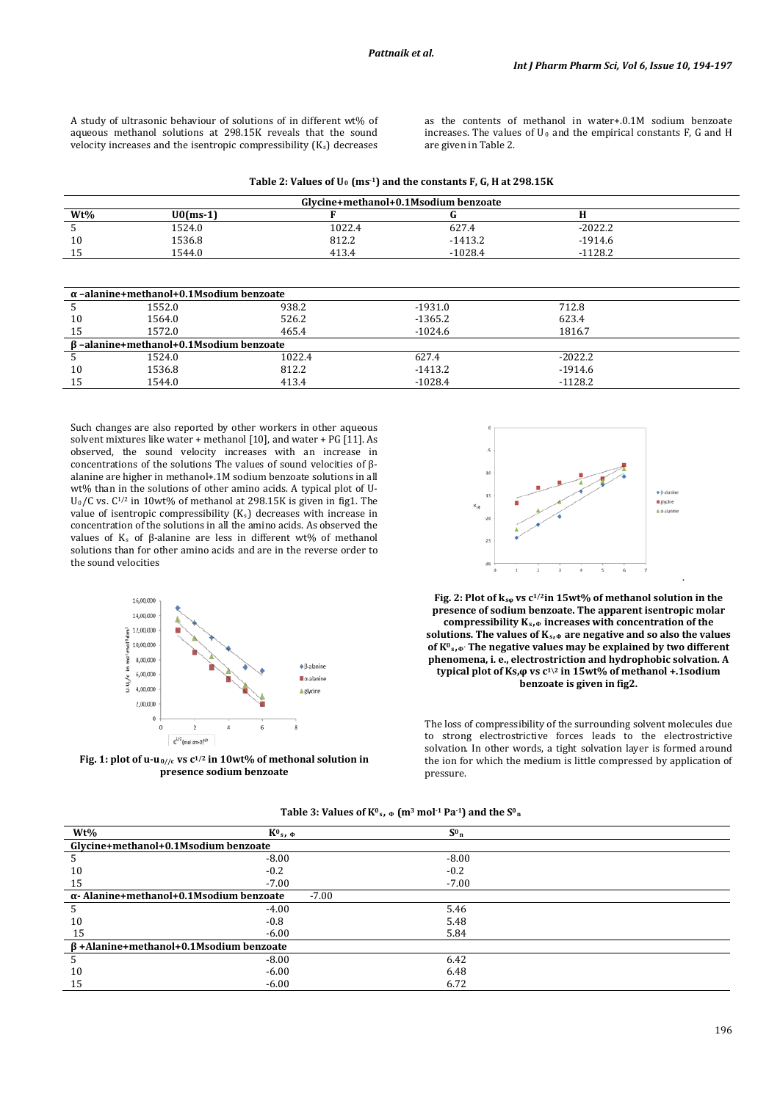A study of ultrasonic behaviour of solutions of in different wt% of aqueous methanol solutions at 298.15K reveals that the sound velocity increases and the isentropic compressibility  $(K<sub>s</sub>)$  decreases

as the contents of methanol in water+.0.1M sodium benzoate increases. The values of  $U_0$  and the empirical constants F, G and H are given in Table 2.

| Table 2: Values of $U_0$ (ms <sup>-1</sup> ) and the constants F, G, H at 298.15K |  |  |  |
|-----------------------------------------------------------------------------------|--|--|--|
|-----------------------------------------------------------------------------------|--|--|--|

| Glycine+methanol+0.1Msodium benzoate |             |        |           |           |  |
|--------------------------------------|-------------|--------|-----------|-----------|--|
| $Wt\%$                               | $U0$ (ms-1) |        |           |           |  |
|                                      | 1524.0      | 1022.4 | 627.4     | $-2022.2$ |  |
| 10                                   | 1536.8      | 812.2  | $-1413.2$ | $-1914.6$ |  |
| 15                                   | 1544.0      | 413.4  | $-1028.4$ | $-1128.2$ |  |
|                                      |             |        |           |           |  |

| $\alpha$ -alanine+methanol+0.1Msodium benzoate |        |        |           |           |  |
|------------------------------------------------|--------|--------|-----------|-----------|--|
|                                                | 1552.0 | 938.2  | $-1931.0$ | 712.8     |  |
| 10                                             | 1564.0 | 526.2  | $-1365.2$ | 623.4     |  |
| 15                                             | 1572.0 | 465.4  | $-1024.6$ | 1816.7    |  |
| B-alanine+methanol+0.1Msodium benzoate         |        |        |           |           |  |
|                                                | 1524.0 | 1022.4 | 627.4     | $-2022.2$ |  |
| 10                                             | 1536.8 | 812.2  | $-1413.2$ | $-1914.6$ |  |
| 15                                             | 1544.0 | 413.4  | $-1028.4$ | $-1128.2$ |  |

Such changes are also reported by other workers in other aqueous solvent mixtures like water + methanol [10], and water + PG [11]. As observed, the sound velocity increases with an increase in concentrations of the solutions The values of sound velocities of βalanine are higher in methanol+.1M sodium benzoate solutions in all wt% than in the solutions of other amino acids. A typical plot of U-U0/C vs. C1/2 in 10wt% of methanol at 298.15K is given in fig1. The value of isentropic compressibility  $(K_s)$  decreases with increase in concentration of the solutions in all the amino acids. As observed the values of Ks of β-alanine are less in different wt% of methanol solutions than for other amino acids and are in the reverse order to the sound velocities



**Fig. 1: plot of u-u0//c vs c1/2 in 10wt% of methonal solution in presence sodium benzoate**



**Fig. 2: Plot of ksφ vs c1/2in 15wt% of methanol solution in the presence of sodium benzoate. The apparent isentropic molar compressibility Ks,<sup>Φ</sup> increases with concentration of the solutions. The values of Ks,<sup>Φ</sup> are negative and so also the values of K0s,Φ. The negative values may be explained by two different phenomena, i. e., electrostriction and hydrophobic solvation. A typical plot of Ks,φ vs c1\2 in 15wt% of methanol +.1sodium benzoate is given in fig2.**

The loss of compressibility of the surrounding solvent molecules due to strong electrostrictive forces leads to the electrostrictive solvation. In other words, a tight solvation layer is formed around the ion for which the medium is little compressed by application of pressure.

|  | Table 3: Values of $K^0$ <sub>s</sub> , $\phi$ (m <sup>3</sup> mol <sup>-1</sup> Pa <sup>-1</sup> ) and the S <sup>0</sup> <sub>n</sub> |
|--|-----------------------------------------------------------------------------------------------------------------------------------------|
|--|-----------------------------------------------------------------------------------------------------------------------------------------|

| $Wt\%$                                        | $K^0$ <sub>s</sub> , $\Phi$                                | $S^0$ <sub>n</sub> |  |  |  |
|-----------------------------------------------|------------------------------------------------------------|--------------------|--|--|--|
| Glycine+methanol+0.1Msodium benzoate          |                                                            |                    |  |  |  |
|                                               | $-8.00$                                                    | $-8.00$            |  |  |  |
| 10                                            | $-0.2$                                                     | $-0.2$             |  |  |  |
| 15                                            | $-7.00$                                                    | $-7.00$            |  |  |  |
|                                               | $\alpha$ - Alanine+methanol+0.1Msodium benzoate<br>$-7.00$ |                    |  |  |  |
|                                               | $-4.00$                                                    | 5.46               |  |  |  |
| 10                                            | $-0.8$                                                     | 5.48               |  |  |  |
| 15                                            | $-6.00$                                                    | 5.84               |  |  |  |
| $\beta$ +Alanine+methanol+0.1Msodium benzoate |                                                            |                    |  |  |  |
|                                               | $-8.00$                                                    | 6.42               |  |  |  |
| 10                                            | $-6.00$                                                    | 6.48               |  |  |  |
| 15                                            | $-6.00$                                                    | 6.72               |  |  |  |